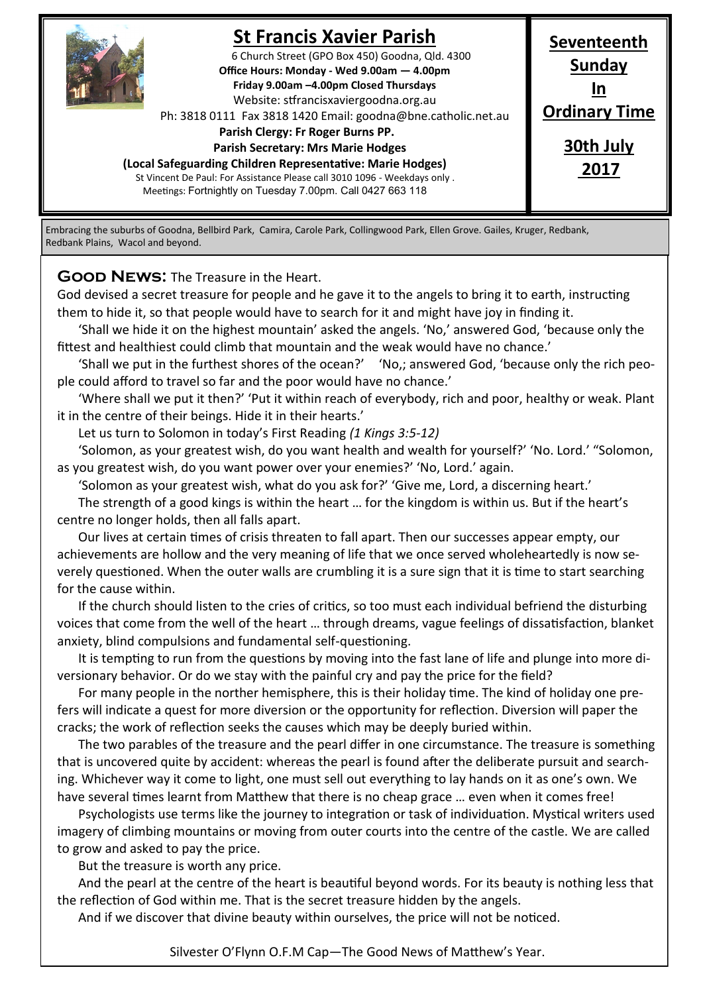

# **St Francis Xavier Parish**

6 Church Street (GPO Box 450) Goodna, Qld. 4300 **Office Hours: Monday - Wed 9.00am — 4.00pm Friday 9.00am –4.00pm Closed Thursdays**  Website: stfrancisxaviergoodna.org.au

Ph: 3818 0111 Fax 3818 1420 Email: goodna@bne.catholic.net.au

 **Parish Clergy: Fr Roger Burns PP.** 

 **Parish Secretary: Mrs Marie Hodges**

**(Local Safeguarding Children Representative: Marie Hodges)**

St Vincent De Paul: For Assistance Please call 3010 1096 - Weekdays only . Meetings: Fortnightly on Tuesday 7.00pm. Call 0427 663 118

**Seventeenth Sunday In Ordinary Time 30th July 2017**

Embracing the suburbs of Goodna, Bellbird Park, Camira, Carole Park, Collingwood Park, Ellen Grove. Gailes, Kruger, Redbank, Redbank Plains, Wacol and beyond.

**GOOD NEWS:** The Treasure in the Heart.

God devised a secret treasure for people and he gave it to the angels to bring it to earth, instructing them to hide it, so that people would have to search for it and might have joy in finding it.

'Shall we hide it on the highest mountain' asked the angels. 'No,' answered God, 'because only the fittest and healthiest could climb that mountain and the weak would have no chance.'

'Shall we put in the furthest shores of the ocean?' 'No,; answered God, 'because only the rich people could afford to travel so far and the poor would have no chance.'

'Where shall we put it then?' 'Put it within reach of everybody, rich and poor, healthy or weak. Plant it in the centre of their beings. Hide it in their hearts.'

Let us turn to Solomon in today's First Reading *(1 Kings 3:5-12)*

'Solomon, as your greatest wish, do you want health and wealth for yourself?' 'No. Lord.' "Solomon, as you greatest wish, do you want power over your enemies?' 'No, Lord.' again.

'Solomon as your greatest wish, what do you ask for?' 'Give me, Lord, a discerning heart.'

The strength of a good kings is within the heart … for the kingdom is within us. But if the heart's centre no longer holds, then all falls apart.

Our lives at certain times of crisis threaten to fall apart. Then our successes appear empty, our achievements are hollow and the very meaning of life that we once served wholeheartedly is now severely questioned. When the outer walls are crumbling it is a sure sign that it is time to start searching for the cause within.

If the church should listen to the cries of critics, so too must each individual befriend the disturbing voices that come from the well of the heart … through dreams, vague feelings of dissatisfaction, blanket anxiety, blind compulsions and fundamental self-questioning.

It is tempting to run from the questions by moving into the fast lane of life and plunge into more diversionary behavior. Or do we stay with the painful cry and pay the price for the field?

For many people in the norther hemisphere, this is their holiday time. The kind of holiday one prefers will indicate a quest for more diversion or the opportunity for reflection. Diversion will paper the cracks; the work of reflection seeks the causes which may be deeply buried within.

The two parables of the treasure and the pearl differ in one circumstance. The treasure is something that is uncovered quite by accident: whereas the pearl is found after the deliberate pursuit and searching. Whichever way it come to light, one must sell out everything to lay hands on it as one's own. We have several times learnt from Matthew that there is no cheap grace … even when it comes free!

Psychologists use terms like the journey to integration or task of individuation. Mystical writers used imagery of climbing mountains or moving from outer courts into the centre of the castle. We are called to grow and asked to pay the price.

But the treasure is worth any price.

And the pearl at the centre of the heart is beautiful beyond words. For its beauty is nothing less that the reflection of God within me. That is the secret treasure hidden by the angels.

And if we discover that divine beauty within ourselves, the price will not be noticed.

Silvester O'Flynn O.F.M Cap—The Good News of Matthew's Year.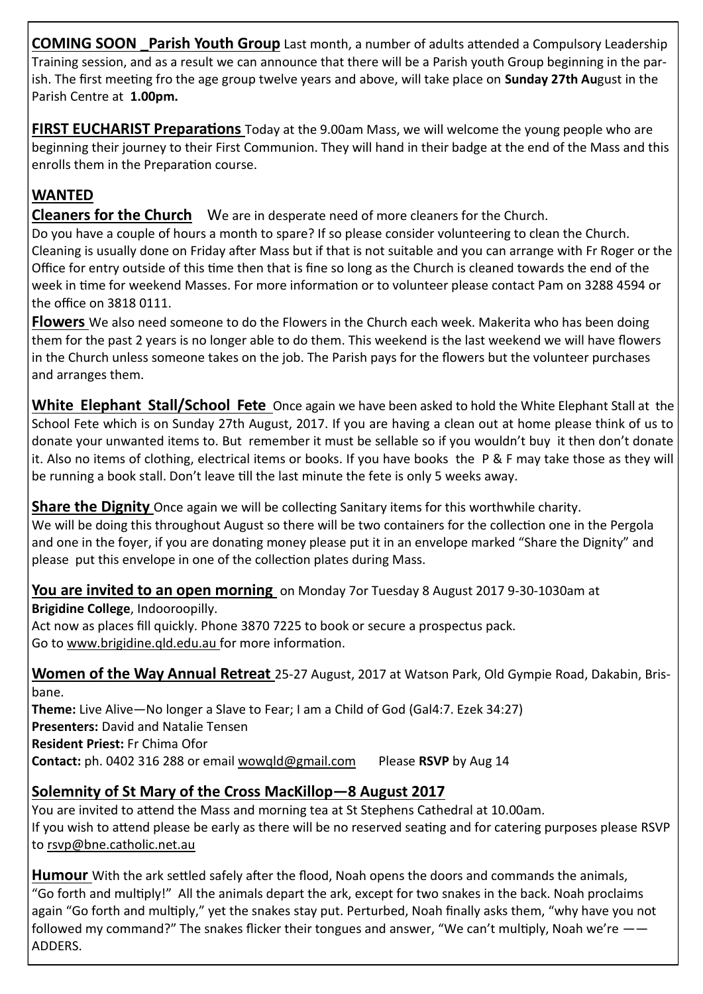**COMING SOON \_Parish Youth Group** Last month, a number of adults attended a Compulsory Leadership Training session, and as a result we can announce that there will be a Parish youth Group beginning in the parish. The first meeting fro the age group twelve years and above, will take place on **Sunday 27th Au**gust in the Parish Centre at **1.00pm.** 

**FIRST EUCHARIST Preparations** Today at the 9.00am Mass, we will welcome the young people who are beginning their journey to their First Communion. They will hand in their badge at the end of the Mass and this enrolls them in the Preparation course.

### **WANTED**

**Cleaners for the Church** We are in desperate need of more cleaners for the Church.

Do you have a couple of hours a month to spare? If so please consider volunteering to clean the Church. Cleaning is usually done on Friday after Mass but if that is not suitable and you can arrange with Fr Roger or the Office for entry outside of this time then that is fine so long as the Church is cleaned towards the end of the week in time for weekend Masses. For more information or to volunteer please contact Pam on 3288 4594 or the office on 3818 0111.

**Flowers** We also need someone to do the Flowers in the Church each week. Makerita who has been doing them for the past 2 years is no longer able to do them. This weekend is the last weekend we will have flowers in the Church unless someone takes on the job. The Parish pays for the flowers but the volunteer purchases and arranges them.

**White Elephant Stall/School Fete** Once again we have been asked to hold the White Elephant Stall at the School Fete which is on Sunday 27th August, 2017. If you are having a clean out at home please think of us to donate your unwanted items to. But remember it must be sellable so if you wouldn't buy it then don't donate it. Also no items of clothing, electrical items or books. If you have books the P & F may take those as they will be running a book stall. Don't leave till the last minute the fete is only 5 weeks away.

**Share the Dignity** Once again we will be collecting Sanitary items for this worthwhile charity.

We will be doing this throughout August so there will be two containers for the collection one in the Pergola and one in the foyer, if you are donating money please put it in an envelope marked "Share the Dignity" and please put this envelope in one of the collection plates during Mass.

**You are invited to an open morning** on Monday 7or Tuesday 8 August 2017 9-30-1030am at

**Brigidine College**, Indooroopilly.

Act now as places fill quickly. Phone 3870 7225 to book or secure a prospectus pack. Go to www.brigidine.qld.edu.au for more information.

**Women of the Way Annual Retreat** 25-27 August, 2017 at Watson Park, Old Gympie Road, Dakabin, Brisbane.

**Theme:** Live Alive—No longer a Slave to Fear; I am a Child of God (Gal4:7. Ezek 34:27) **Presenters:** David and Natalie Tensen **Resident Priest:** Fr Chima Ofor **Contact:** ph. 0402 316 288 or email wowqld@gmail.com Please **RSVP** by Aug 14

### **Solemnity of St Mary of the Cross MacKillop—8 August 2017**

You are invited to attend the Mass and morning tea at St Stephens Cathedral at 10.00am. If you wish to attend please be early as there will be no reserved seating and for catering purposes please RSVP to rsvp@bne.catholic.net.au

**Humour** With the ark settled safely after the flood, Noah opens the doors and commands the animals, "Go forth and multiply!" All the animals depart the ark, except for two snakes in the back. Noah proclaims again "Go forth and multiply," yet the snakes stay put. Perturbed, Noah finally asks them, "why have you not followed my command?" The snakes flicker their tongues and answer, "We can't multiply, Noah we're  $-$ ADDERS.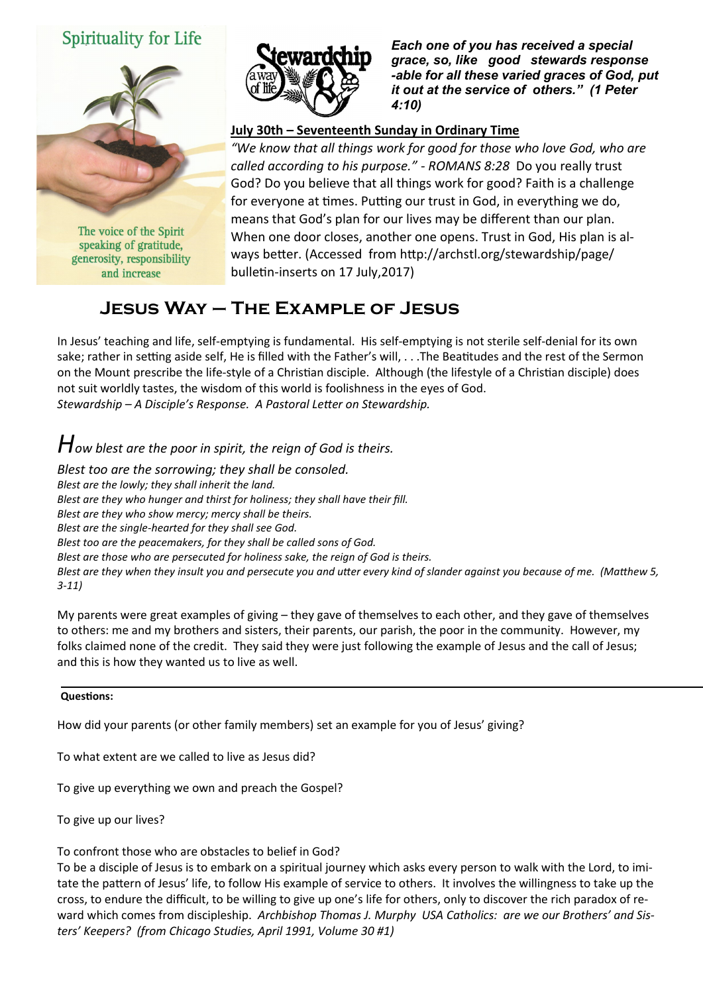# Spirituality for Life



The voice of the Spirit speaking of gratitude, generosity, responsibility and increase



*Each one of you has received a special grace, so, like good stewards response -able for all these varied graces of God, put it out at the service of others." (1 Peter 4:10)* 

### **July 30th – Seventeenth Sunday in Ordinary Time**

*"We know that all things work for good for those who love God, who are called according to his purpose." - ROMANS 8:28* Do you really trust God? Do you believe that all things work for good? Faith is a challenge for everyone at times. Putting our trust in God, in everything we do, means that God's plan for our lives may be different than our plan. When one door closes, another one opens. Trust in God, His plan is always better. (Accessed from http://archstl.org/stewardship/page/ bulletin-inserts on 17 July,2017)

# **Jesus Way – The Example of Jesus**

In Jesus' teaching and life, self-emptying is fundamental. His self-emptying is not sterile self-denial for its own sake; rather in setting aside self, He is filled with the Father's will, . . .The Beatitudes and the rest of the Sermon on the Mount prescribe the life-style of a Christian disciple. Although (the lifestyle of a Christian disciple) does not suit worldly tastes, the wisdom of this world is foolishness in the eyes of God. *Stewardship – A Disciple's Response. A Pastoral Letter on Stewardship.*

*How blest are the poor in spirit, the reign of God is theirs.*

*Blest too are the sorrowing; they shall be consoled. Blest are the lowly; they shall inherit the land. Blest are they who hunger and thirst for holiness; they shall have their fill. Blest are they who show mercy; mercy shall be theirs. Blest are the single-hearted for they shall see God. Blest too are the peacemakers, for they shall be called sons of God. Blest are those who are persecuted for holiness sake, the reign of God is theirs. Blest are they when they insult you and persecute you and utter every kind of slander against you because of me. (Matthew 5, 3-11)*

My parents were great examples of giving – they gave of themselves to each other, and they gave of themselves to others: me and my brothers and sisters, their parents, our parish, the poor in the community. However, my folks claimed none of the credit. They said they were just following the example of Jesus and the call of Jesus; and this is how they wanted us to live as well.

#### **Questions:**

How did your parents (or other family members) set an example for you of Jesus' giving?

To what extent are we called to live as Jesus did?

To give up everything we own and preach the Gospel?

To give up our lives?

To confront those who are obstacles to belief in God?

To be a disciple of Jesus is to embark on a spiritual journey which asks every person to walk with the Lord, to imitate the pattern of Jesus' life, to follow His example of service to others. It involves the willingness to take up the cross, to endure the difficult, to be willing to give up one's life for others, only to discover the rich paradox of reward which comes from discipleship. *Archbishop Thomas J. Murphy USA Catholics: are we our Brothers' and Sisters' Keepers? (from Chicago Studies, April 1991, Volume 30 #1)*